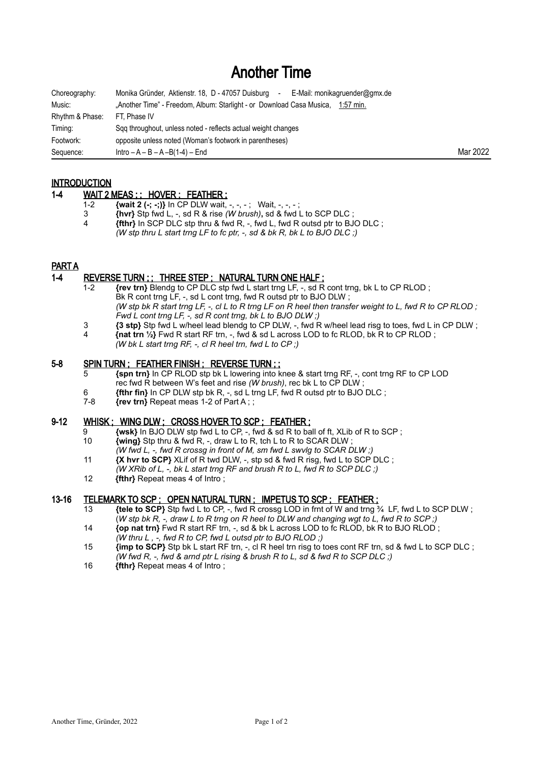# Another Time

| Choreography:   | Monika Gründer, Aktienstr. 18, D - 47057 Duisburg<br>E-Mail: monikagruender@gmx.de<br>$\sim$ $-$ |          |
|-----------------|--------------------------------------------------------------------------------------------------|----------|
| Music:          | "Another Time" - Freedom, Album: Starlight - or Download Casa Musica, 1:57 min.                  |          |
| Rhythm & Phase: | FT. Phase IV                                                                                     |          |
| Timing:         | Sqq throughout, unless noted - reflects actual weight changes                                    |          |
| Footwork:       | opposite unless noted (Woman's footwork in parentheses)                                          |          |
| Sequence:       | $Intro - A - B - A - B(1-4) - End$                                                               | Mar 2022 |

# INTRODUCTION

## 1-4 WAIT 2 MEAS ; ; HOVER ; FEATHER ;

- 1-2 **{wait 2 (-; -;)}** In CP DLW wait, -, -, -; Wait, -, -, -;<br>3 *Invri* Sto fwd L, -, sd R & rise (*W brush*), sd & fwd I
- 3 **{hvr}** Stp fwd L, -, sd R & rise *(W brush)***,** sd & fwd L to SCP DLC ;
- 4 **{fthr}** In SCP DLC stp thru & fwd R, -, fwd L, fwd R outsd ptr to BJO DLC ; *(W stp thru L start trng LF to fc ptr, -, sd & bk R, bk L to BJO DLC ;)*

# PART A

#### 1-4 REVERSE TURN ; ; THREE STEP ; NATURAL TURN ONE HALF ;

- 1-2 **{rev trn}** Blendg to CP DLC stp fwd L start trng LF, -, sd R cont trng, bk L to CP RLOD ; Bk R cont trng LF, -, sd L cont trng, fwd R outsd ptr to BJO DLW; *(W stp bk R start trng LF, -, cl L to R trng LF on R heel then transfer weight to L, fwd R to CP RLOD ; Fwd L cont trng LF, -, sd R cont trng, bk L to BJO DLW ;)*
- 3 **{3 stp}** Stp fwd L w/heel lead blendg to CP DLW, -, fwd R w/heel lead risg to toes, fwd L in CP DLW ;<br>4 **finat trn** 1/4 Ewd R start RE trn fwd & sd L across LOD to fc RLOD bk R to CP RLOD.
- 4 **{nat trn ½}** Fwd R start RF trn, -, fwd & sd L across LOD to fc RLOD, bk R to CP RLOD ;
- *(W bk L start trng RF, -, cl R heel trn, fwd L to CP ;)*

# 5-8 SPIN TURN ; FEATHER FINISH ; REVERSE TURN ; ;

- 5 **{spn trn}** In CP RLOD stp bk L lowering into knee & start trng RF, -, cont trng RF to CP LOD rec fwd R between W's feet and rise *(W brush)*, rec bk L to CP DLW ;
- 6 **{fthr fin}** In CP DLW stp bk R, -, sd L trng LF, fwd R outsd ptr to BJO DLC ;
- **{rev trn} Repeat meas 1-2 of Part A ; ;**

# 9-12 WHISK; WING DLW; CROSS HOVER TO SCP; FEATHER;

- 9 **{wsk}** In BJO DLW stp fwd L to CP, -, fwd & sd R to ball of ft, XLib of R to SCP ;
- 10 **{wing}** Stp thru & fwd R, -, draw L to R, tch L to R to SCAR DLW ; *(W fwd L, -, fwd R crossg in front of M, sm fwd L swvlg to SCAR DLW ;)*
- 11 **{X hvr to SCP}** XLif of R twd DLW, -, stp sd & fwd R risg, fwd L to SCP DLC ;
- *(W XRib of L, -, bk L start trng RF and brush R to L, fwd R to SCP DLC ;)*
- 12 **{fthr}** Repeat meas 4 of Intro ;

#### 13-16 TELEMARK TO SCP ; OPEN NATURAL TURN ; IMPETUS TO SCP ; FEATHER ;

- 13 **{tele to SCP}** Stp fwd L to CP, -, fwd R crossg LOD in frnt of W and trng ¾ LF, fwd L to SCP DLW ; (*W stp bk R, -, draw L to R trng on R heel to DLW and changing wgt to L, fwd R to SCP ;)*
- 14 **{op nat trn}** Fwd R start RF trn, -, sd & bk L across LOD to fc RLOD, bk R to BJO RLOD ; *(W thru L , -, fwd R to CP, fwd L outsd ptr to BJO RLOD ;)*
- 15 **{imp to SCP}** Stp bk L start RF trn, -, cl R heel trn risg to toes cont RF trn, sd & fwd L to SCP DLC ; *(W fwd R, -, fwd & arnd ptr L rising & brush R to L, sd & fwd R to SCP DLC ;)*
- 16 **{fthr}** Repeat meas 4 of Intro ;